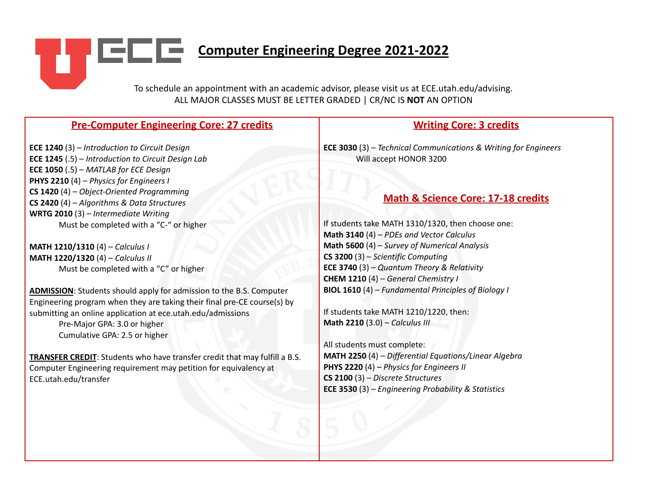**Computer Engineering Degree 2021-2022** 

٠L

To schedule an appointment with an academic advisor, please visit us at ECE.utah.edu/advising. ALL MAJOR CLASSES MUST BE LETTER GRADED | CR/NC IS **NOT** AN OPTION

| <b>Pre-Computer Engineering Core: 27 credits</b>                                                                                                                      | <b>Writing Core: 3 credits</b>                                                                    |
|-----------------------------------------------------------------------------------------------------------------------------------------------------------------------|---------------------------------------------------------------------------------------------------|
| <b>ECE 1240</b> (3) $-$ Introduction to Circuit Design<br><b>ECE 1245</b> (.5) – Introduction to Circuit Design Lab<br><b>ECE 1050</b> (.5) $-$ MATLAB for ECE Design | <b>ECE 3030</b> (3) - Technical Communications & Writing for Engineers<br>Will accept HONOR 3200  |
| <b>PHYS 2210</b> (4) - Physics for Engineers I<br>$CS$ 1420 (4) – Object-Oriented Programming                                                                         |                                                                                                   |
| CS 2420 (4) - Algorithms & Data Structures<br><b>WRTG 2010</b> (3) $-$ Intermediate Writing                                                                           | <b>Math &amp; Science Core: 17-18 credits</b>                                                     |
| Must be completed with a "C-" or higher                                                                                                                               | If students take MATH 1310/1320, then choose one:<br>Math 3140 (4) - PDEs and Vector Calculus     |
| MATH 1210/1310 (4) - Calculus I<br>MATH 1220/1320 (4) - Calculus II                                                                                                   | Math 5600 (4) - Survey of Numerical Analysis<br>$CS$ 3200 (3) – Scientific Computing              |
| Must be completed with a "C" or higher                                                                                                                                | <b>ECE 3740</b> (3) - Quantum Theory & Relativity<br><b>CHEM 1210</b> (4) - General Chemistry I   |
| <b>ADMISSION:</b> Students should apply for admission to the B.S. Computer<br>Engineering program when they are taking their final pre-CE course(s) by                | <b>BIOL 1610</b> (4) – Fundamental Principles of Biology I                                        |
| submitting an online application at ece.utah.edu/admissions<br>Pre-Major GPA: 3.0 or higher<br>Cumulative GPA: 2.5 or higher                                          | If students take MATH 1210/1220, then:<br>Math 2210 (3.0) - Calculus III                          |
|                                                                                                                                                                       | All students must complete:                                                                       |
| TRANSFER CREDIT: Students who have transfer credit that may fulfill a B.S.<br>Computer Engineering requirement may petition for equivalency at                        | MATH 2250 (4) - Differential Equations/Linear Algebra<br>PHYS 2220 (4) - Physics for Engineers II |
| ECE.utah.edu/transfer                                                                                                                                                 | $CS$ 2100 (3) – Discrete Structures<br><b>ECE 3530</b> (3) - Engineering Probability & Statistics |
|                                                                                                                                                                       |                                                                                                   |